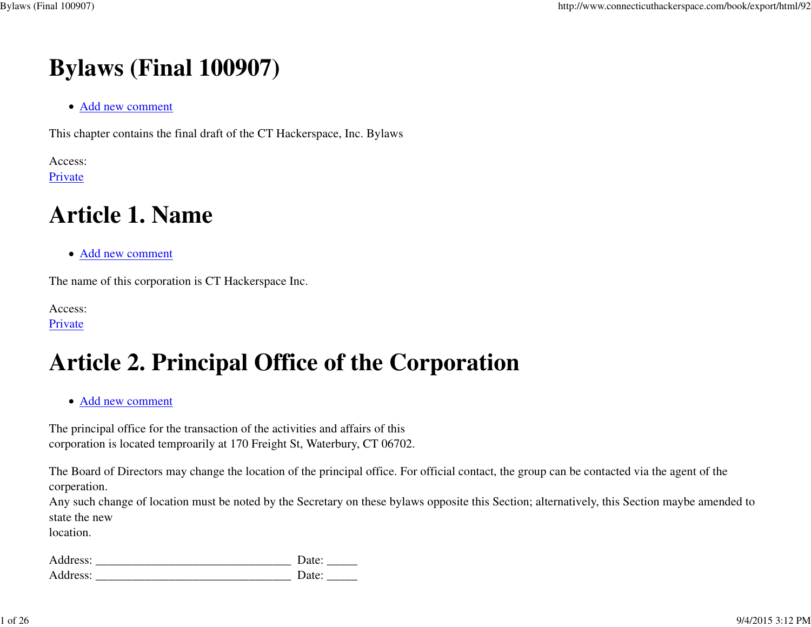# **Bylaws (Final 100907)**

Add new comment

This chapter contains the final draft of the CT Hackerspace, Inc. Bylaws

Access: Private

# **Article 1. Name**

Add new comment

The name of this corporation is CT Hackerspace Inc.

Access: Private

# **Article 2. Principal Office of the Corporation**

Add new comment

The principal office for the transaction of the activities and affairs of thiscorporation is located temproarily at 170 Freight St, Waterbury, CT 06702.

The Board of Directors may change the location of the principal office. For official contact, the group can be contacted via the agent of thecorperation.

Any such change of location must be noted by the Secretary on these bylaws opposite this Section; alternatively, this Section maybe amended tostate the newBylaws (Final 100907)<br>  $Bylaws$  (Final 100907)<br>
• Add new connecticute<br>
This chapter combines the final during of the CT Hackerspace, for, Bylaws<br>
Article 1, Name<br>
<sup>•</sup> Add new connecticute in CT Hackerspace loss.<br>
Private<br>
<sup></sup>

location.

| Address: | Date: |
|----------|-------|
| Address: | Date: |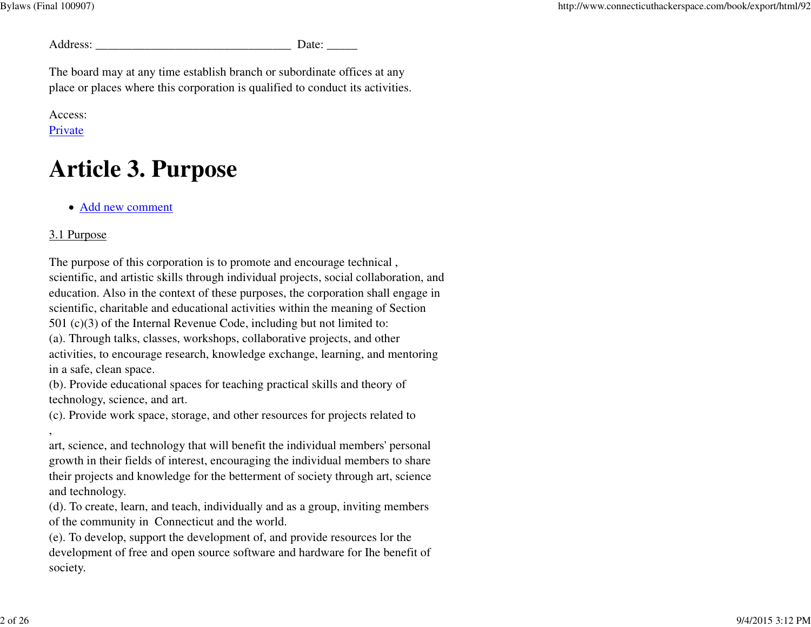Bylaws (Final 100907)

| Address. |  |
|----------|--|
|          |  |

The board may at any time establish branch or subordinate offices at anyplace or places where this corporation is qualified to conduct its activities.

#### Access: Private

# **Article 3. Purpose**

Add new comment

### 3.1 Purpose

,

The purpose of this corporation is to promote and encourage technical ,scientific, and artistic skills through individual projects, social collaboration, and education. Also in the context of these purposes, the corporation shall engage inscientific, charitable and educational activities within the meaning of Section501 (c)(3) of the Internal Revenue Code, including but not limited to:(a). Through talks, classes, workshops, collaborative projects, and other activities, to encourage research, knowledge exchange, learning, and mentoringin a safe, clean space.

(b). Provide educational spaces for teaching practical skills and theory oftechnology, science, and art.

(c). Provide work space, storage, and other resources for projects related to

art, science, and technology that will benefit the individual members' personal growth in their fields of interest, encouraging the individual members to share their projects and knowledge for the betterment of society through art, scienceand technology.

(d). To create, learn, and teach, individually and as a group, inviting membersof the community in Connecticut and the world.

(e). To develop, support the development of, and provide resources lor the development of free and open source software and hardware for Ihe benefit ofsociety.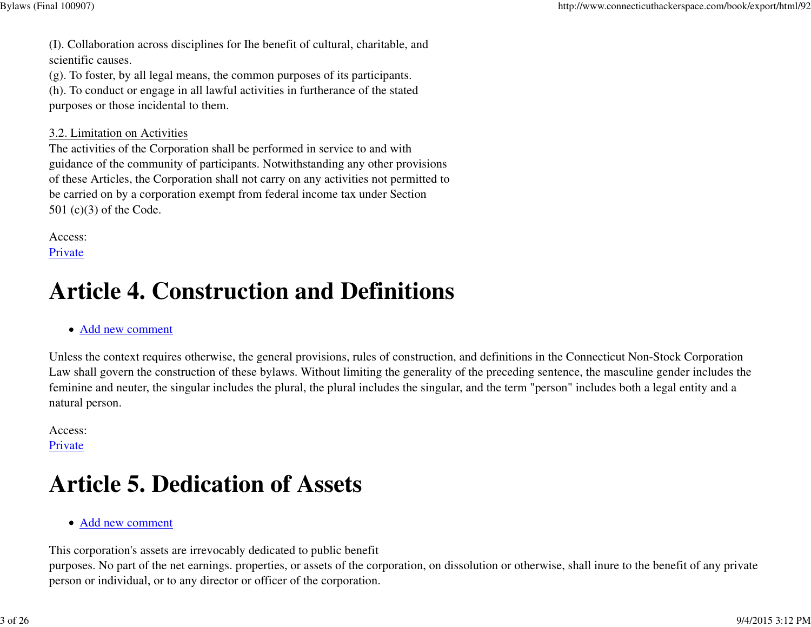(I). Collaboration across disciplines for Ihe benefit of cultural, charitable, andscientific causes.

(g). To foster, by all legal means, the common purposes of its participants.

(h). To conduct or engage in all lawful activities in furtherance of the statedpurposes or those incidental to them.

#### 3.2. Limitation on Activities

 The activities of the Corporation shall be performed in service to and with guidance of the community of participants. Notwithstanding any other provisions of these Articles, the Corporation shall not carry on any activities not permitted tobe carried on by a corporation exempt from federal income tax under Section501 (c)(3) of the Code.

Access:

Private

# **Article 4. Construction and Definitions**

#### Add new comment

Unless the context requires otherwise, the general provisions, rules of construction, and definitions in the Connecticut Non-Stock Corporation Law shall govern the construction of these bylaws. Without limiting the generality of the preceding sentence, the masculine gender includes thefeminine and neuter, the singular includes the plural, the plural includes the singular, and the term "person" includes both a legal entity and anatural person.

Access: Private

# **Article 5. Dedication of Assets**

Add new comment

This corporation's assets are irrevocably dedicated to public benefit

purposes. No part of the net earnings. properties, or assets of the corporation, on dissolution or otherwise, shall inure to the benefit of any privateperson or individual, or to any director or officer of the corporation.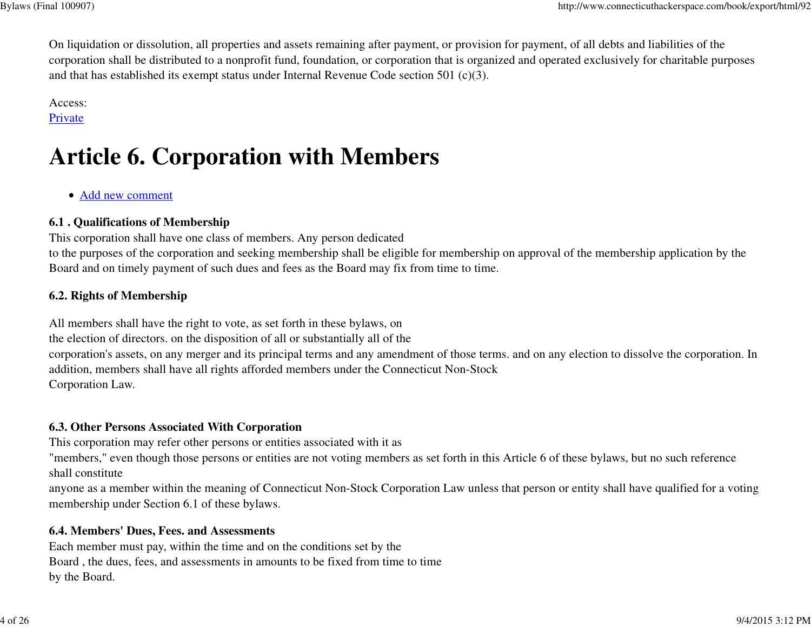On liquidation or dissolution, all properties and assets remaining after payment, or provision for payment, of all debts and liabilities of the corporation shall be distributed to a nonprofit fund, foundation, or corporation that is organized and operated exclusively for charitable purposesand that has established its exempt status under Internal Revenue Code section 501 (c)(3).

Access:

# **Private**

# **Article 6. Corporation with Members**

Add new comment

# **6.1 . Qualifications of Membership**

This corporation shall have one class of members. Any person dedicated

 to the purposes of the corporation and seeking membership shall be eligible for membership on approval of the membership application by theBoard and on timely payment of such dues and fees as the Board may fix from time to time.

# **6.2. Rights of Membership**

All members shall have the right to vote, as set forth in these bylaws, on the election of directors. on the disposition of all or substantially all of the corporation's assets, on any merger and its principal terms and any amendment of those terms. and on any election to dissolve the corporation. Inaddition, members shall have all rights afforded members under the Connecticut Non-StockCorporation Law.

# **6.3. Other Persons Associated With Corporation**

This corporation may refer other persons or entities associated with it as

 "members," even though those persons or entities are not voting members as set forth in this Article 6 of these bylaws, but no such referenceshall constitute

 anyone as a member within the meaning of Connecticut Non-Stock Corporation Law unless that person or entity shall have qualified for a votingmembership under Section 6.1 of these bylaws.

### **6.4. Members' Dues, Fees. and Assessments**

 Each member must pay, within the time and on the conditions set by the Board , the dues, fees, and assessments in amounts to be fixed from time to timeby the Board.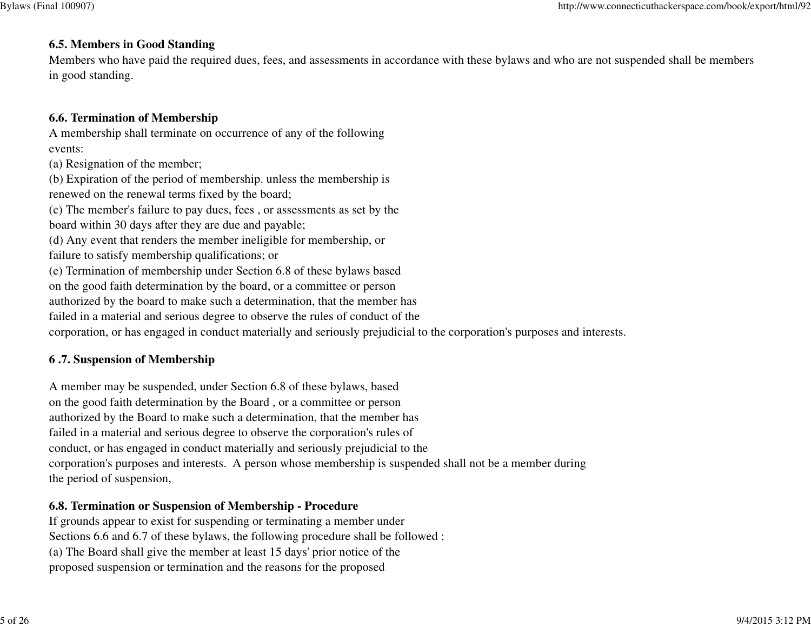#### **6.5. Members in Good Standing**

 Members who have paid the required dues, fees, and assessments in accordance with these bylaws and who are not suspended shall be membersin good standing.

### **6.6. Termination of Membership**

 A membership shall terminate on occurrence of any of the followingevents:

(a) Resignation of the member;

 (b) Expiration of the period of membership. unless the membership isrenewed on the renewal terms fixed by the board;

(c) The member's failure to pay dues, fees , or assessments as set by theboard within 30 days after they are due and payable;

(d) Any event that renders the member ineligible for membership, or

failure to satisfy membership qualifications; or

(e) Termination of membership under Section 6.8 of these bylaws based

on the good faith determination by the board, or a committee or person

authorized by the board to make such a determination, that the member has

failed in a material and serious degree to observe the rules of conduct of the

corporation, or has engaged in conduct materially and seriously prejudicial to the corporation's purposes and interests.

### **6 .7. Suspension of Membership**

A member may be suspended, under Section 6.8 of these bylaws, based on the good faith determination by the Board , or a committee or person authorized by the Board to make such a determination, that the member has failed in a material and serious degree to observe the corporation's rules of conduct, or has engaged in conduct materially and seriously prejudicial to the corporation's purposes and interests. A person whose membership is suspended shall not be a member duringthe period of suspension,

### **6.8. Termination or Suspension of Membership - Procedure**

 If grounds appear to exist for suspending or terminating a member under Sections 6.6 and 6.7 of these bylaws, the following procedure shall be followed :(a) The Board shall give the member at least 15 days' prior notice of theproposed suspension or termination and the reasons for the proposed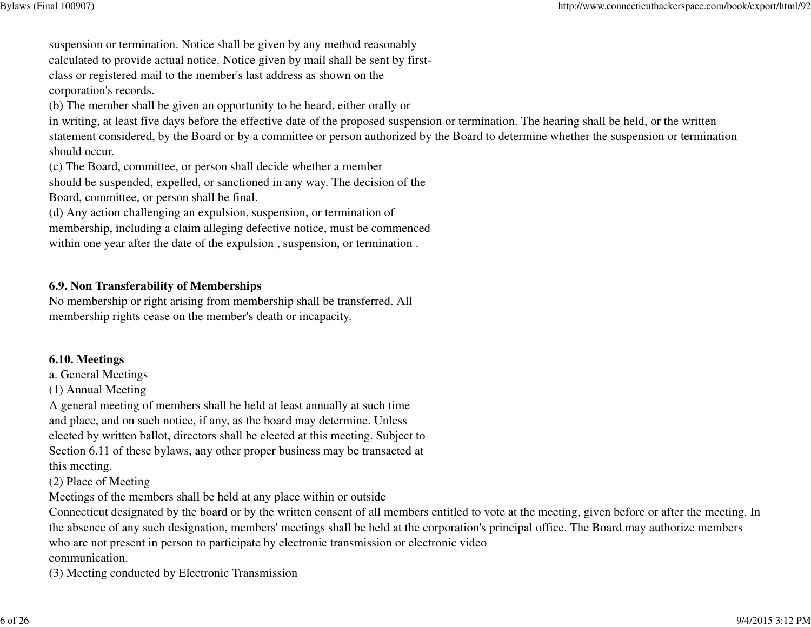suspension or termination. Notice shall be given by any method reasonably calculated to provide actual notice. Notice given by mail shall be sent by firstclass or registered mail to the member's last address as shown on thecorporation's records.

(b) The member shall be given an opportunity to be heard, either orally or

 in writing, at least five days before the effective date of the proposed suspension or termination. The hearing shall be held, or the written statement considered, by the Board or by a committee or person authorized by the Board to determine whether the suspension or terminationshould occur.

(c) The Board, committee, or person shall decide whether a member

 should be suspended, expelled, or sanctioned in any way. The decision of theBoard, committee, or person shall be final.

(d) Any action challenging an expulsion, suspension, or termination of membership, including a claim alleging defective notice, must be commencedwithin one year after the date of the expulsion , suspension, or termination .

#### **6.9. Non Transferability of Memberships**

 No membership or right arising from membership shall be transferred. Allmembership rights cease on the member's death or incapacity.

#### **6.10. Meetings**

a. General Meetings

(1) Annual Meeting

 A general meeting of members shall be held at least annually at such time and place, and on such notice, if any, as the board may determine. Unless elected by written ballot, directors shall be elected at this meeting. Subject to Section 6.11 of these bylaws, any other proper business may be transacted atthis meeting.

(2) Place of Meeting

Meetings of the members shall be held at any place within or outside

 Connecticut designated by the board or by the written consent of all members entitled to vote at the meeting, given before or after the meeting. Inthe absence of any such designation, members' meetings shall be held at the corporation's principal office. The Board may authorize memberswho are not present in person to participate by electronic transmission or electronic videocommunication.

(3) Meeting conducted by Electronic Transmission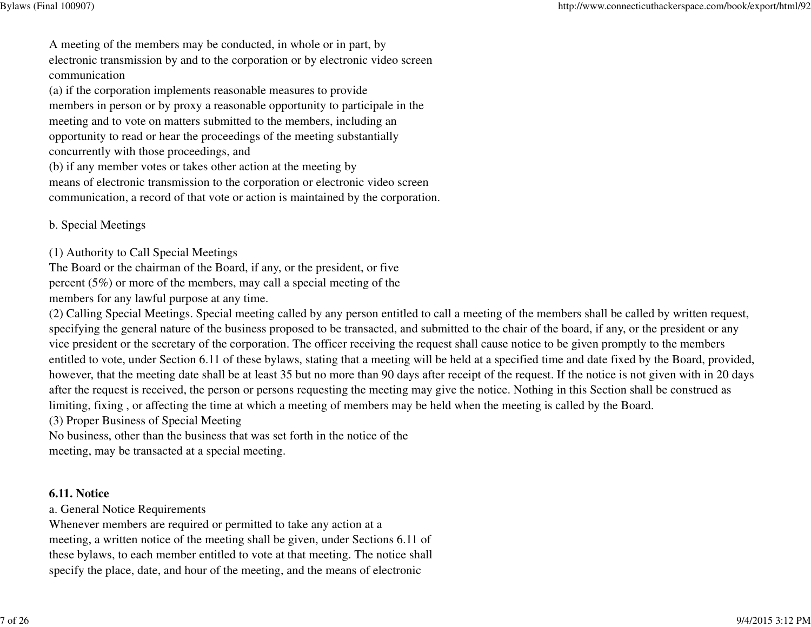A meeting of the members may be conducted, in whole or in part, by electronic transmission by and to the corporation or by electronic video screencommunication

 (a) if the corporation implements reasonable measures to provide members in person or by proxy a reasonable opportunity to participale in themeeting and to vote on matters submitted to the members, including an opportunity to read or hear the proceedings of the meeting substantiallyconcurrently with those proceedings, and

(b) if any member votes or takes other action at the meeting by

 means of electronic transmission to the corporation or electronic video screencommunication, a record of that vote or action is maintained by the corporation.

b. Special Meetings

(1) Authority to Call Special Meetings

 The Board or the chairman of the Board, if any, or the president, or five percent (5%) or more of the members, may call a special meeting of themembers for any lawful purpose at any time.

(2) Calling Special Meetings. Special meeting called by any person entitled to call a meeting of the members shall be called by written request,specifying the general nature of the business proposed to be transacted, and submitted to the chair of the board, if any, or the president or anyvice president or the secretary of the corporation. The officer receiving the request shall cause notice to be given promptly to the members entitled to vote, under Section 6.11 of these bylaws, stating that a meeting will be held at a specified time and date fixed by the Board, provided,however, that the meeting date shall be at least 35 but no more than 90 days after receipt of the request. If the notice is not given with in 20 daysafter the request is received, the person or persons requesting the meeting may give the notice. Nothing in this Section shall be construed aslimiting, fixing , or affecting the time at which a meeting of members may be held when the meeting is called by the Board.

(3) Proper Business of Special Meeting

 No business, other than the business that was set forth in the notice of themeeting, may be transacted at a special meeting.

#### **6.11. Notice**

a. General Notice Requirements

 Whenever members are required or permitted to take any action at a meeting, a written notice of the meeting shall be given, under Sections 6.11 ofthese bylaws, to each member entitled to vote at that meeting. The notice shallspecify the place, date, and hour of the meeting, and the means of electronic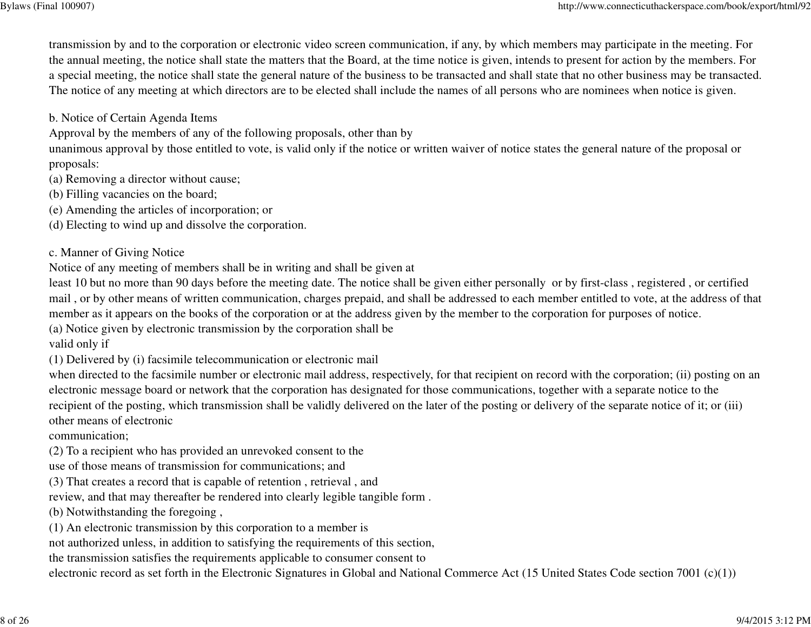transmission by and to the corporation or electronic video screen communication, if any, by which members may participate in the meeting. For the annual meeting, the notice shall state the matters that the Board, at the time notice is given, intends to present for action by the members. Fora special meeting, the notice shall state the general nature of the business to be transacted and shall state that no other business may be transacted.The notice of any meeting at which directors are to be elected shall include the names of all persons who are nominees when notice is given.

b. Notice of Certain Agenda Items

Approval by the members of any of the following proposals, other than by

 unanimous approval by those entitled to vote, is valid only if the notice or written waiver of notice states the general nature of the proposal orproposals:

- (a) Removing a director without cause;
- (b) Filling vacancies on the board;
- (e) Amending the articles of incorporation; or

(d) Electing to wind up and dissolve the corporation.

c. Manner of Giving Notice

Notice of any meeting of members shall be in writing and shall be given at

least 10 but no more than 90 days before the meeting date. The notice shall be given either personally or by first-class , registered , or certified mail , or by other means of written communication, charges prepaid, and shall be addressed to each member entitled to vote, at the address of thatmember as it appears on the books of the corporation or at the address given by the member to the corporation for purposes of notice.

(a) Notice given by electronic transmission by the corporation shall be

valid only if

(1) Delivered by (i) facsimile telecommunication or electronic mail

when directed to the facsimile number or electronic mail address, respectively, for that recipient on record with the corporation; (ii) posting on an electronic message board or network that the corporation has designated for those communications, together with a separate notice to the recipient of the posting, which transmission shall be validly delivered on the later of the posting or delivery of the separate notice of it; or (iii)other means of electronic

communication;

(2) To a recipient who has provided an unrevoked consent to the

- use of those means of transmission for communications; and
- (3) That creates a record that is capable of retention , retrieval , and

review, and that may thereafter be rendered into clearly legible tangible form .

- (b) Notwithstanding the foregoing ,
- (1) An electronic transmission by this corporation to a member is

not authorized unless, in addition to satisfying the requirements of this section,

the transmission satisfies the requirements applicable to consumer consent to

electronic record as set forth in the Electronic Signatures in Global and National Commerce Act (15 United States Code section 7001 (c)(1))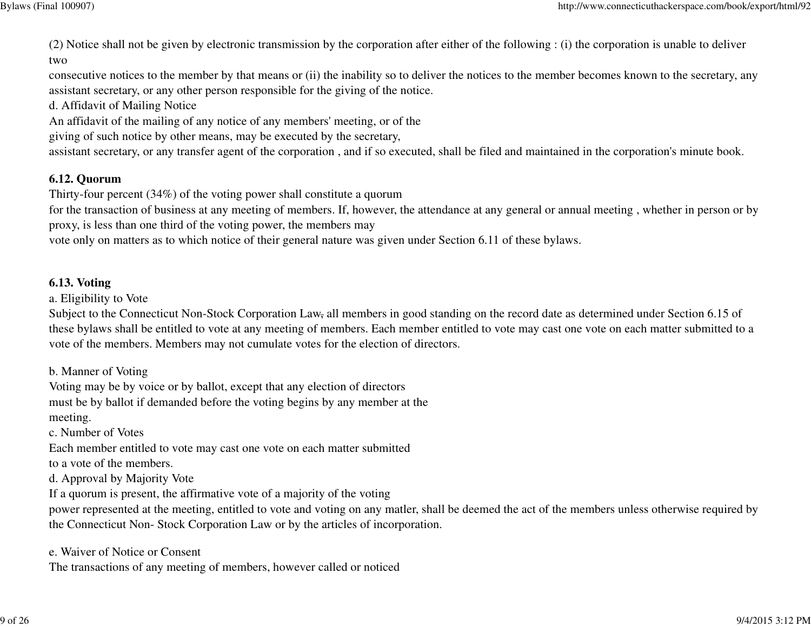Bylaws (Final 100907)

(2) Notice shall not be given by electronic transmission by the corporation after either of the following : (i) the corporation is unable to delivertwo

 consecutive notices to the member by that means or (ii) the inability so to deliver the notices to the member becomes known to the secretary, anyassistant secretary, or any other person responsible for the giving of the notice.

d. Affidavit of Mailing Notice

An affidavit of the mailing of any notice of any members' meeting, or of the

giving of such notice by other means, may be executed by the secretary,

assistant secretary, or any transfer agent of the corporation , and if so executed, shall be filed and maintained in the corporation's minute book.

#### **6.12. Quorum**

Thirty-four percent (34%) of the voting power shall constitute a quorum

 for the transaction of business at any meeting of members. If, however, the attendance at any general or annual meeting , whether in person or byproxy, is less than one third of the voting power, the members may

vote only on matters as to which notice of their general nature was given under Section 6.11 of these bylaws.

#### **6.13. Voting**

a. Eligibility to Vote

Subject to the Connecticut Non-Stock Corporation Law, all members in good standing on the record date as determined under Section 6.15 of these bylaws shall be entitled to vote at any meeting of members. Each member entitled to vote may cast one vote on each matter submitted to avote of the members. Members may not cumulate votes for the election of directors.

b. Manner of Voting

 Voting may be by voice or by ballot, except that any election of directors must be by ballot if demanded before the voting begins by any member at themeeting.

c. Number of Votes

 Each member entitled to vote may cast one vote on each matter submittedto a vote of the members.

d. Approval by Majority Vote

If a quorum is present, the affirmative vote of a majority of the voting

 power represented at the meeting, entitled to vote and voting on any matler, shall be deemed the act of the members unless otherwise required bythe Connecticut Non- Stock Corporation Law or by the articles of incorporation.

e. Waiver of Notice or Consent

The transactions of any meeting of members, however called or noticed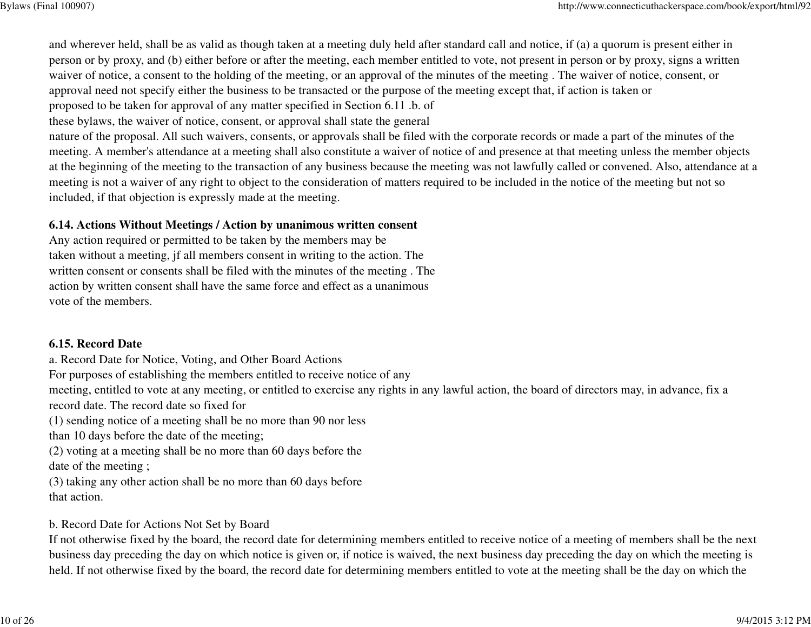and wherever held, shall be as valid as though taken at a meeting duly held after standard call and notice, if (a) a quorum is present either in person or by proxy, and (b) either before or after the meeting, each member entitled to vote, not present in person or by proxy, signs a writtenwaiver of notice, a consent to the holding of the meeting, or an approval of the minutes of the meeting . The waiver of notice, consent, orapproval need not specify either the business to be transacted or the purpose of the meeting except that, if action is taken or

proposed to be taken for approval of any matter specified in Section 6.11 .b. of

these bylaws, the waiver of notice, consent, or approval shall state the general

nature of the proposal. All such waivers, consents, or approvals shall be filed with the corporate records or made a part of the minutes of the meeting. A member's attendance at a meeting shall also constitute a waiver of notice of and presence at that meeting unless the member objects at the beginning of the meeting to the transaction of any business because the meeting was not lawfully called or convened. Also, attendance at ameeting is not a waiver of any right to object to the consideration of matters required to be included in the notice of the meeting but not soincluded, if that objection is expressly made at the meeting.

#### **6.14. Actions Without Meetings / Action by unanimous written consent**

Any action required or permitted to be taken by the members may be taken without a meeting, jf all members consent in writing to the action. The written consent or consents shall be filed with the minutes of the meeting . The action by written consent shall have the same force and effect as a unanimousvote of the members.

#### **6.15. Record Date**

 a. Record Date for Notice, Voting, and Other Board Actions For purposes of establishing the members entitled to receive notice of any meeting, entitled to vote at any meeting, or entitled to exercise any rights in any lawful action, the board of directors may, in advance, fix arecord date. The record date so fixed for (1) sending notice of a meeting shall be no more than 90 nor lessthan 10 days before the date of the meeting;(2) voting at a meeting shall be no more than 60 days before thedate of the meeting ;(3) taking any other action shall be no more than 60 days beforethat action.

#### b. Record Date for Actions Not Set by Board

 If not otherwise fixed by the board, the record date for determining members entitled to receive notice of a meeting of members shall be the nextbusiness day preceding the day on which notice is given or, if notice is waived, the next business day preceding the day on which the meeting isheld. If not otherwise fixed by the board, the record date for determining members entitled to vote at the meeting shall be the day on which the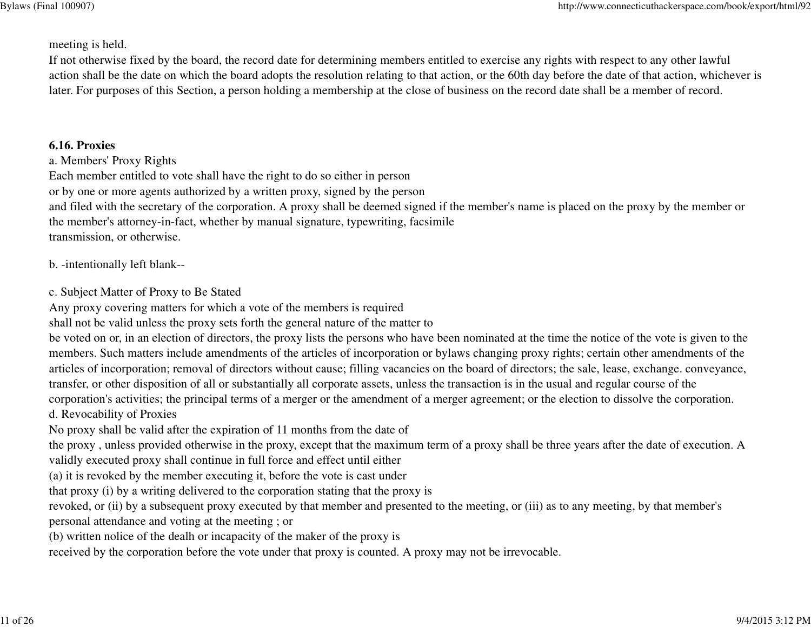#### meeting is held.

If not otherwise fixed by the board, the record date for determining members entitled to exercise any rights with respect to any other lawfulaction shall be the date on which the board adopts the resolution relating to that action, or the 60th day before the date of that action, whichever islater. For purposes of this Section, a person holding a membership at the close of business on the record date shall be a member of record.

### **6.16. Proxies**

a. Members' Proxy Rights

Each member entitled to vote shall have the right to do so either in person

or by one or more agents authorized by a written proxy, signed by the person

 and filed with the secretary of the corporation. A proxy shall be deemed signed if the member's name is placed on the proxy by the member orthe member's attorney-in-fact, whether by manual signature, typewriting, facsimiletransmission, or otherwise.

b. -intentionally left blank--

### c. Subject Matter of Proxy to Be Stated

Any proxy covering matters for which a vote of the members is required

shall not be valid unless the proxy sets forth the general nature of the matter to

 be voted on or, in an election of directors, the proxy lists the persons who have been nominated at the time the notice of the vote is given to the members. Such matters include amendments of the articles of incorporation or bylaws changing proxy rights; certain other amendments of the articles of incorporation; removal of directors without cause; filling vacancies on the board of directors; the sale, lease, exchange. conveyance,transfer, or other disposition of all or substantially all corporate assets, unless the transaction is in the usual and regular course of the corporation's activities; the principal terms of a merger or the amendment of a merger agreement; or the election to dissolve the corporation.d. Revocability of Proxies

No proxy shall be valid after the expiration of 11 months from the date of

 the proxy , unless provided otherwise in the proxy, except that the maximum term of a proxy shall be three years after the date of execution. Avalidly executed proxy shall continue in full force and effect until either

(a) it is revoked by the member executing it, before the vote is cast under

that proxy (i) by a writing delivered to the corporation stating that the proxy is

revoked, or (ii) by a subsequent proxy executed by that member and presented to the meeting, or (iii) as to any meeting, by that member's

personal attendance and voting at the meeting ; or

(b) written nolice of the dealh or incapacity of the maker of the proxy is

received by the corporation before the vote under that proxy is counted. A proxy may not be irrevocable.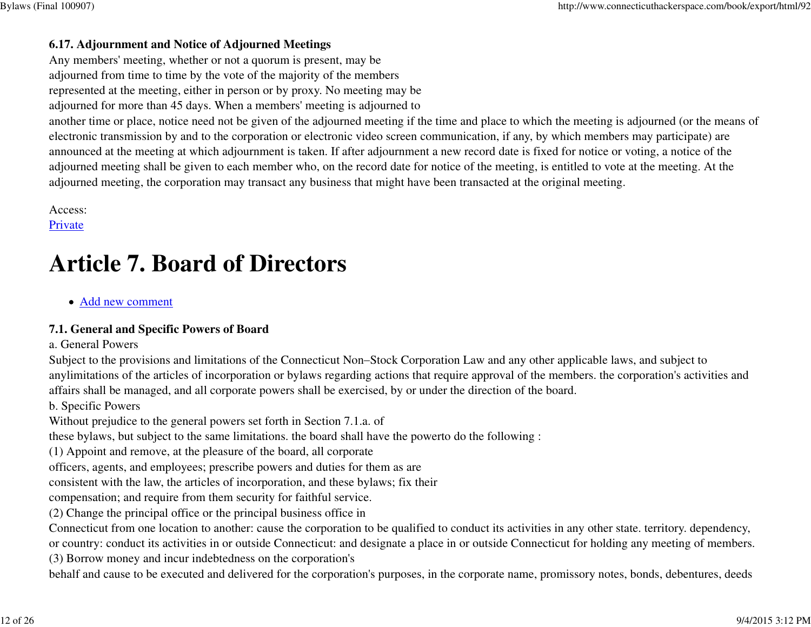### **6.17. Adjournment and Notice of Adjourned Meetings**

 Any members' meeting, whether or not a quorum is present, may be adjourned from time to time by the vote of the majority of the membersrepresented at the meeting, either in person or by proxy. No meeting may be

adjourned for more than 45 days. When a members' meeting is adjourned to

 another time or place, notice need not be given of the adjourned meeting if the time and place to which the meeting is adjourned (or the means ofelectronic transmission by and to the corporation or electronic video screen communication, if any, by which members may participate) are announced at the meeting at which adjournment is taken. If after adjournment a new record date is fixed for notice or voting, a notice of the adjourned meeting shall be given to each member who, on the record date for notice of the meeting, is entitled to vote at the meeting. At theadjourned meeting, the corporation may transact any business that might have been transacted at the original meeting.

Access:

Private

# **Article 7. Board of Directors**

Add new comment

### **7.1. General and Specific Powers of Board**

#### a. General Powers

Subject to the provisions and limitations of the Connecticut Non–Stock Corporation Law and any other applicable laws, and subject to anylimitations of the articles of incorporation or bylaws regarding actions that require approval of the members. the corporation's activities andaffairs shall be managed, and all corporate powers shall be exercised, by or under the direction of the board.

b. Specific Powers

Without prejudice to the general powers set forth in Section 7.1.a. of

these bylaws, but subject to the same limitations. the board shall have the powerto do the following :

(1) Appoint and remove, at the pleasure of the board, all corporate

officers, agents, and employees; prescribe powers and duties for them as are

consistent with the law, the articles of incorporation, and these bylaws; fix their

compensation; and require from them security for faithful service.

(2) Change the principal office or the principal business office in

Connecticut from one location to another: cause the corporation to be qualified to conduct its activities in any other state. territory. dependency,

 or country: conduct its activities in or outside Connecticut: and designate a place in or outside Connecticut for holding any meeting of members.(3) Borrow money and incur indebtedness on the corporation's

behalf and cause to be executed and delivered for the corporation's purposes, in the corporate name, promissory notes, bonds, debentures, deeds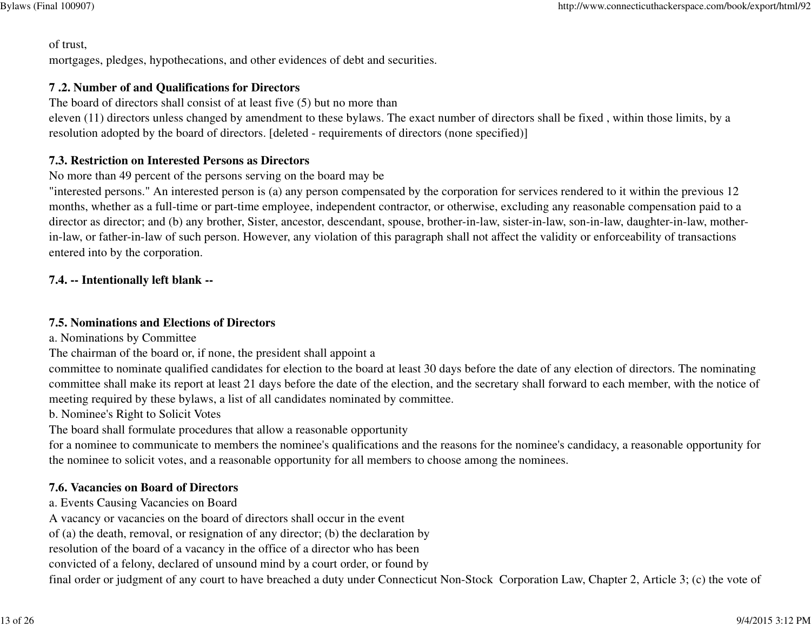of trust,

mortgages, pledges, hypothecations, and other evidences of debt and securities.

# **7 .2. Number of and Qualifications for Directors**

The board of directors shall consist of at least five (5) but no more than

 eleven (11) directors unless changed by amendment to these bylaws. The exact number of directors shall be fixed , within those limits, by aresolution adopted by the board of directors. [deleted - requirements of directors (none specified)]

# **7.3. Restriction on Interested Persons as Directors**

No more than 49 percent of the persons serving on the board may be

 "interested persons." An interested person is (a) any person compensated by the corporation for services rendered to it within the previous 12 months, whether as a full-time or part-time employee, independent contractor, or otherwise, excluding any reasonable compensation paid to a director as director; and (b) any brother, Sister, ancestor, descendant, spouse, brother-in-law, sister-in-law, son-in-law, daughter-in-law, motherin-law, or father-in-law of such person. However, any violation of this paragraph shall not affect the validity or enforceability of transactionsentered into by the corporation.

# **7.4. -- Intentionally left blank --**

### **7.5. Nominations and Elections of Directors**

a. Nominations by Committee

The chairman of the board or, if none, the president shall appoint a

 committee to nominate qualified candidates for election to the board at least 30 days before the date of any election of directors. The nominating committee shall make its report at least 21 days before the date of the election, and the secretary shall forward to each member, with the notice ofmeeting required by these bylaws, a list of all candidates nominated by committee.

b. Nominee's Right to Solicit Votes

The board shall formulate procedures that allow a reasonable opportunity

 for a nominee to communicate to members the nominee's qualifications and the reasons for the nominee's candidacy, a reasonable opportunity forthe nominee to solicit votes, and a reasonable opportunity for all members to choose among the nominees.

# **7.6. Vacancies on Board of Directors**

a. Events Causing Vacancies on Board

A vacancy or vacancies on the board of directors shall occur in the event

of (a) the death, removal, or resignation of any director; (b) the declaration by

resolution of the board of a vacancy in the office of a director who has been

convicted of a felony, declared of unsound mind by a court order, or found by

final order or judgment of any court to have breached a duty under Connecticut Non-Stock Corporation Law, Chapter 2, Article 3; (c) the vote of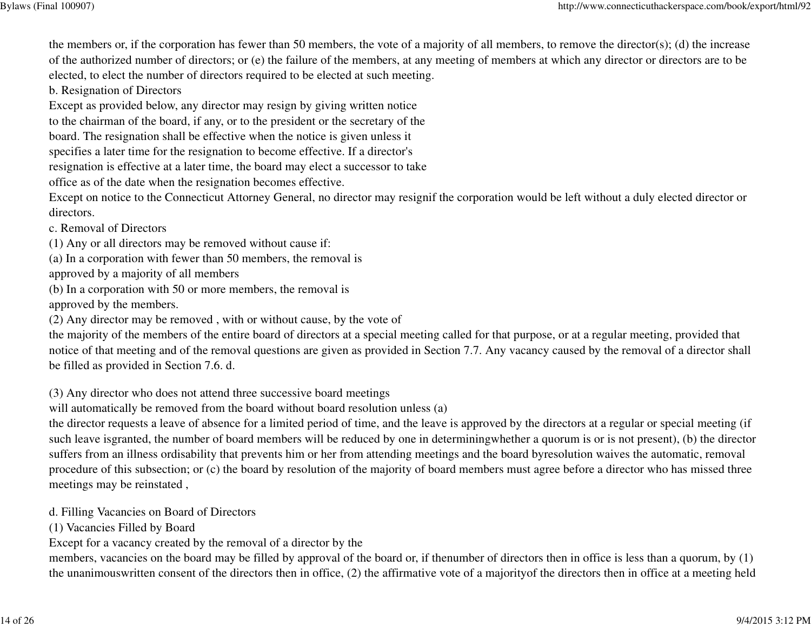the members or, if the corporation has fewer than 50 members, the vote of a majority of all members, to remove the director(s); (d) the increase of the authorized number of directors; or (e) the failure of the members, at any meeting of members at which any director or directors are to beelected, to elect the number of directors required to be elected at such meeting.

b. Resignation of Directors

Except as provided below, any director may resign by giving written notice

to the chairman of the board, if any, or to the president or the secretary of the

board. The resignation shall be effective when the notice is given unless it

specifies a later time for the resignation to become effective. If a director's

resignation is effective at a later time, the board may elect a successor to take

office as of the date when the resignation becomes effective.

Except on notice to the Connecticut Attorney General, no director may resignif the corporation would be left without a duly elected director ordirectors.

c. Removal of Directors

(1) Any or all directors may be removed without cause if:

(a) In a corporation with fewer than 50 members, the removal is

approved by a majority of all members

(b) In a corporation with 50 or more members, the removal is

approved by the members.

(2) Any director may be removed , with or without cause, by the vote of

 the majority of the members of the entire board of directors at a special meeting called for that purpose, or at a regular meeting, provided thatnotice of that meeting and of the removal questions are given as provided in Section 7.7. Any vacancy caused by the removal of a director shallbe filled as provided in Section 7.6. d.

(3) Any director who does not attend three successive board meetings

will automatically be removed from the board without board resolution unless (a)

 the director requests a leave of absence for a limited period of time, and the leave is approved by the directors at a regular or special meeting (if such leave isgranted, the number of board members will be reduced by one in determiningwhether a quorum is or is not present), (b) the directorsuffers from an illness ordisability that prevents him or her from attending meetings and the board byresolution waives the automatic, removal procedure of this subsection; or (c) the board by resolution of the majority of board members must agree before a director who has missed threemeetings may be reinstated ,

d. Filling Vacancies on Board of Directors

(1) Vacancies Filled by Board

Except for a vacancy created by the removal of a director by the

 members, vacancies on the board may be filled by approval of the board or, if thenumber of directors then in office is less than a quorum, by (1)the unanimouswritten consent of the directors then in office, (2) the affirmative vote of a majorityof the directors then in office at a meeting held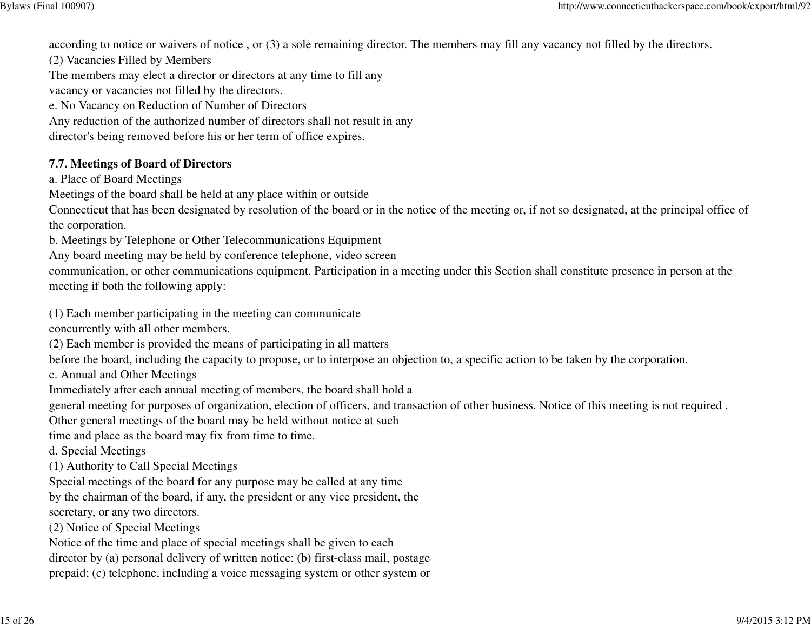according to notice or waivers of notice , or (3) a sole remaining director. The members may fill any vacancy not filled by the directors.

(2) Vacancies Filled by Members

The members may elect a director or directors at any time to fill any

vacancy or vacancies not filled by the directors.

e. No Vacancy on Reduction of Number of Directors

Any reduction of the authorized number of directors shall not result in any

director's being removed before his or her term of office expires.

# **7.7. Meetings of Board of Directors**

a. Place of Board Meetings

Meetings of the board shall be held at any place within or outside

 Connecticut that has been designated by resolution of the board or in the notice of the meeting or, if not so designated, at the principal office ofthe corporation.

b. Meetings by Telephone or Other Telecommunications Equipment

Any board meeting may be held by conference telephone, video screen

 communication, or other communications equipment. Participation in a meeting under this Section shall constitute presence in person at themeeting if both the following apply:

(1) Each member participating in the meeting can communicate

concurrently with all other members.

(2) Each member is provided the means of participating in all matters

before the board, including the capacity to propose, or to interpose an objection to, a specific action to be taken by the corporation.

c. Annual and Other Meetings

Immediately after each annual meeting of members, the board shall hold a

general meeting for purposes of organization, election of officers, and transaction of other business. Notice of this meeting is not required .

Other general meetings of the board may be held without notice at such

time and place as the board may fix from time to time.

d. Special Meetings

(1) Authority to Call Special Meetings

Special meetings of the board for any purpose may be called at any time

by the chairman of the board, if any, the president or any vice president, the

secretary, or any two directors.

(2) Notice of Special Meetings

Notice of the time and place of special meetings shall be given to each

director by (a) personal delivery of written notice: (b) first-class mail, postage

prepaid; (c) telephone, including a voice messaging system or other system or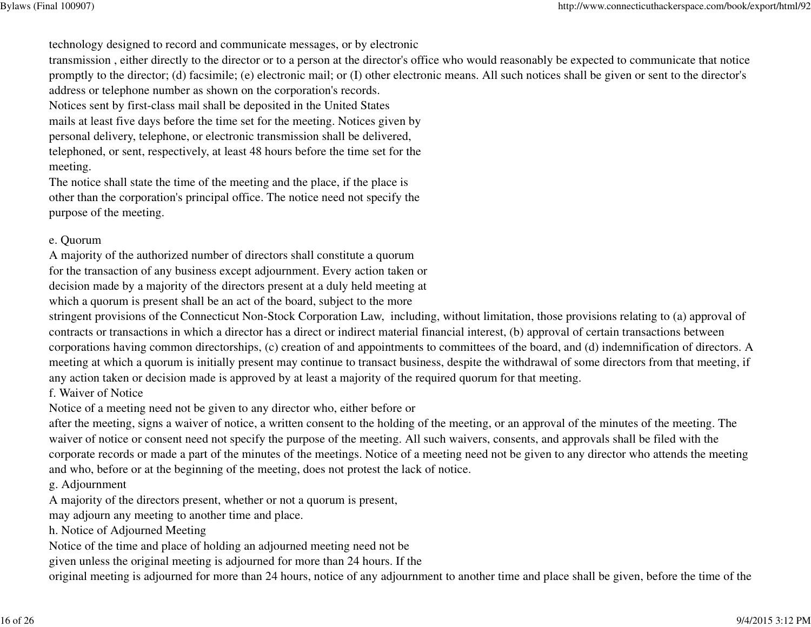technology designed to record and communicate messages, or by electronic

 transmission , either directly to the director or to a person at the director's office who would reasonably be expected to communicate that notice promptly to the director; (d) facsimile; (e) electronic mail; or (I) other electronic means. All such notices shall be given or sent to the director'saddress or telephone number as shown on the corporation's records.

Notices sent by first-class mail shall be deposited in the United States

mails at least five days before the time set for the meeting. Notices given by

personal delivery, telephone, or electronic transmission shall be delivered,

telephoned, or sent, respectively, at least 48 hours before the time set for themeeting.

The notice shall state the time of the meeting and the place, if the place is other than the corporation's principal office. The notice need not specify thepurpose of the meeting.

#### e. Quorum

A majority of the authorized number of directors shall constitute a quorum

for the transaction of any business except adjournment. Every action taken or

decision made by a majority of the directors present at a duly held meeting at

which a quorum is present shall be an act of the board, subject to the more

 stringent provisions of the Connecticut Non-Stock Corporation Law, including, without limitation, those provisions relating to (a) approval ofcontracts or transactions in which a director has a direct or indirect material financial interest, (b) approval of certain transactions between corporations having common directorships, (c) creation of and appointments to committees of the board, and (d) indemnification of directors. A meeting at which a quorum is initially present may continue to transact business, despite the withdrawal of some directors from that meeting, ifany action taken or decision made is approved by at least a majority of the required quorum for that meeting.

f. Waiver of Notice

Notice of a meeting need not be given to any director who, either before or

 after the meeting, signs a waiver of notice, a written consent to the holding of the meeting, or an approval of the minutes of the meeting. Thewaiver of notice or consent need not specify the purpose of the meeting. All such waivers, consents, and approvals shall be filed with the corporate records or made a part of the minutes of the meetings. Notice of a meeting need not be given to any director who attends the meetingand who, before or at the beginning of the meeting, does not protest the lack of notice.

g. Adjournment

A majority of the directors present, whether or not a quorum is present,

may adjourn any meeting to another time and place.

h. Notice of Adjourned Meeting

Notice of the time and place of holding an adjourned meeting need not be

given unless the original meeting is adjourned for more than 24 hours. If the

original meeting is adjourned for more than 24 hours, notice of any adjournment to another time and place shall be given, before the time of the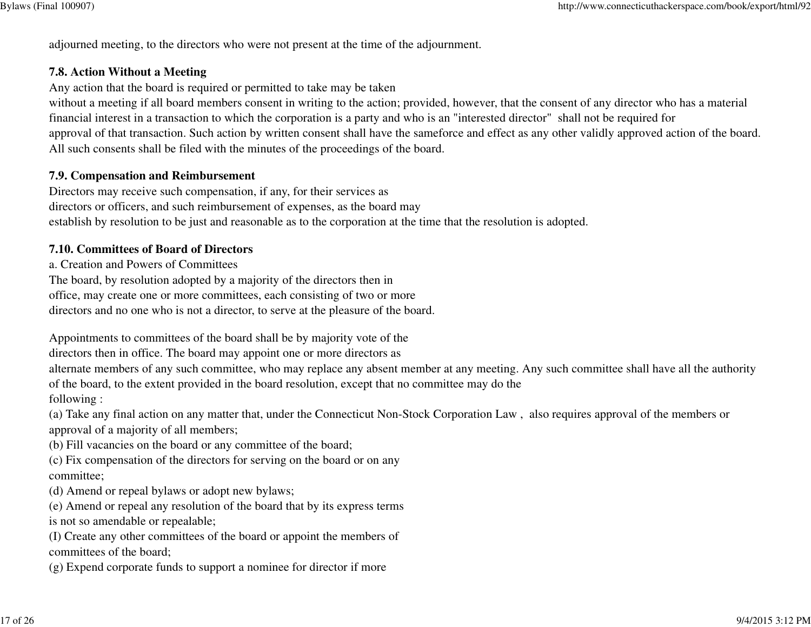adjourned meeting, to the directors who were not present at the time of the adjournment.

#### **7.8. Action Without a Meeting**

Any action that the board is required or permitted to take may be taken

 without a meeting if all board members consent in writing to the action; provided, however, that the consent of any director who has a materialfinancial interest in a transaction to which the corporation is a party and who is an "interested director" shall not be required for approval of that transaction. Such action by written consent shall have the sameforce and effect as any other validly approved action of the board.All such consents shall be filed with the minutes of the proceedings of the board.

#### **7.9. Compensation and Reimbursement**

 Directors may receive such compensation, if any, for their services as directors or officers, and such reimbursement of expenses, as the board mayestablish by resolution to be just and reasonable as to the corporation at the time that the resolution is adopted.

#### **7.10. Committees of Board of Directors**

a. Creation and Powers of Committees

 The board, by resolution adopted by a majority of the directors then in office, may create one or more committees, each consisting of two or moredirectors and no one who is not a director, to serve at the pleasure of the board.

Appointments to committees of the board shall be by majority vote of the

directors then in office. The board may appoint one or more directors as

 alternate members of any such committee, who may replace any absent member at any meeting. Any such committee shall have all the authorityof the board, to the extent provided in the board resolution, except that no committee may do the

following :

(a) Take any final action on any matter that, under the Connecticut Non-Stock Corporation Law , also requires approval of the members orapproval of a majority of all members;

(b) Fill vacancies on the board or any committee of the board;

(c) Fix compensation of the directors for serving on the board or on anycommittee;

(d) Amend or repeal bylaws or adopt new bylaws;

(e) Amend or repeal any resolution of the board that by its express termsis not so amendable or repealable;

(I) Create any other committees of the board or appoint the members ofcommittees of the board;

(g) Expend corporate funds to support a nominee for director if more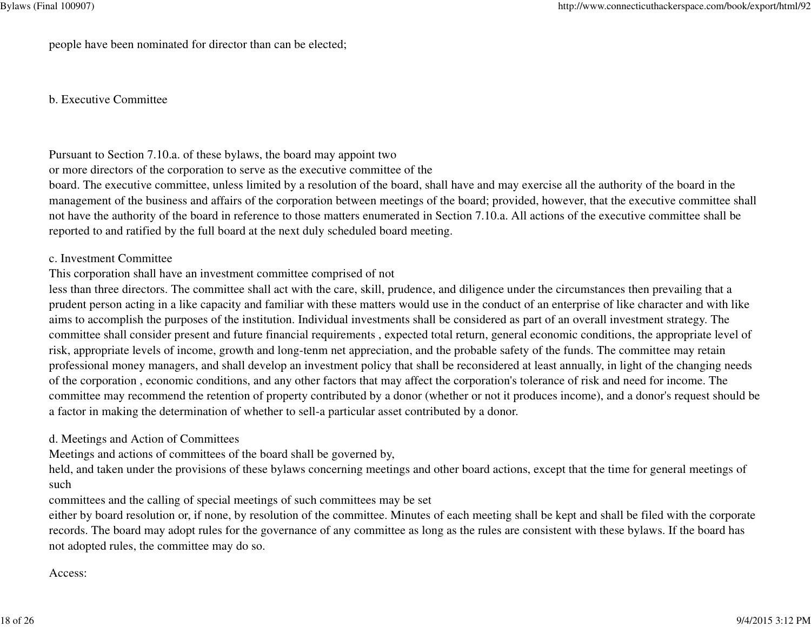people have been nominated for director than can be elected;

b. Executive Committee

Pursuant to Section 7.10.a. of these bylaws, the board may appoint two

or more directors of the corporation to serve as the executive committee of the

 board. The executive committee, unless limited by a resolution of the board, shall have and may exercise all the authority of the board in the management of the business and affairs of the corporation between meetings of the board; provided, however, that the executive committee shallnot have the authority of the board in reference to those matters enumerated in Section 7.10.a. All actions of the executive committee shall bereported to and ratified by the full board at the next duly scheduled board meeting.

#### c. Investment Committee

### This corporation shall have an investment committee comprised of not

less than three directors. The committee shall act with the care, skill, prudence, and diligence under the circumstances then prevailing that a prudent person acting in a like capacity and familiar with these matters would use in the conduct of an enterprise of like character and with likeaims to accomplish the purposes of the institution. Individual investments shall be considered as part of an overall investment strategy. The committee shall consider present and future financial requirements , expected total return, general economic conditions, the appropriate level ofrisk, appropriate levels of income, growth and long-tenm net appreciation, and the probable safety of the funds. The committee may retain professional money managers, and shall develop an investment policy that shall be reconsidered at least annually, in light of the changing needsof the corporation , economic conditions, and any other factors that may affect the corporation's tolerance of risk and need for income. The committee may recommend the retention of property contributed by a donor (whether or not it produces income), and a donor's request should bea factor in making the determination of whether to sell-a particular asset contributed by a donor.

#### d. Meetings and Action of Committees

Meetings and actions of committees of the board shall be governed by,

held, and taken under the provisions of these bylaws concerning meetings and other board actions, except that the time for general meetings ofsuch

committees and the calling of special meetings of such committees may be set

either by board resolution or, if none, by resolution of the committee. Minutes of each meeting shall be kept and shall be filed with the corporaterecords. The board may adopt rules for the governance of any committee as long as the rules are consistent with these bylaws. If the board hasnot adopted rules, the committee may do so.

Access: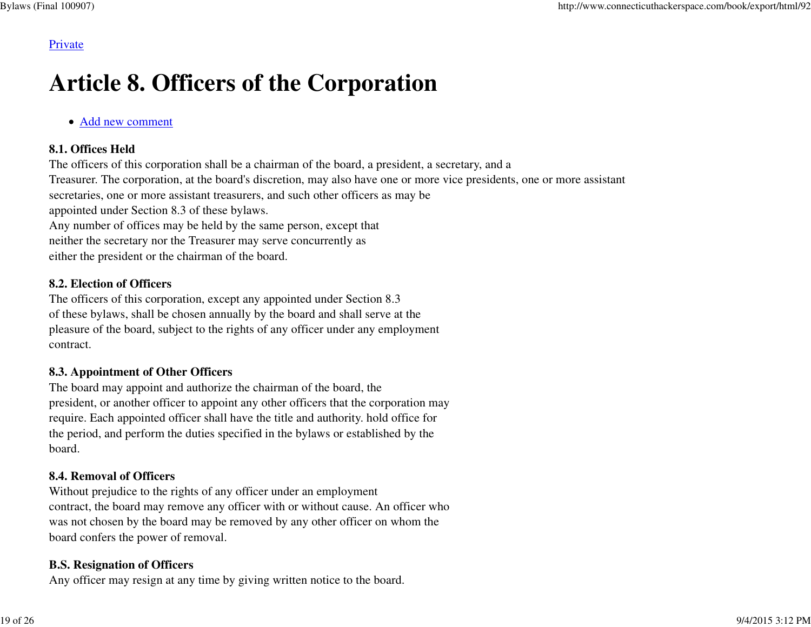#### Private

# **Article 8. Officers of the Corporation**

#### Add new comment

#### **8.1. Offices Held**

 The officers of this corporation shall be a chairman of the board, a president, a secretary, and a Treasurer. The corporation, at the board's discretion, may also have one or more vice presidents, one or more assistantsecretaries, one or more assistant treasurers, and such other officers as may beappointed under Section 8.3 of these bylaws.Any number of offices may be held by the same person, except thatneither the secretary nor the Treasurer may serve concurrently aseither the president or the chairman of the board.

#### **8.2. Election of Officers**

 The officers of this corporation, except any appointed under Section 8.3 of these bylaws, shall be chosen annually by the board and shall serve at the pleasure of the board, subject to the rights of any officer under any employmentcontract.

#### **8.3. Appointment of Other Officers**

 The board may appoint and authorize the chairman of the board, the president, or another officer to appoint any other officers that the corporation mayrequire. Each appointed officer shall have the title and authority. hold office forthe period, and perform the duties specified in the bylaws or established by theboard.

# **8.4. Removal of Officers**

 Without prejudice to the rights of any officer under an employmentcontract, the board may remove any officer with or without cause. An officer whowas not chosen by the board may be removed by any other officer on whom theboard confers the power of removal.

### **B.S. Resignation of Officers**

Any officer may resign at any time by giving written notice to the board.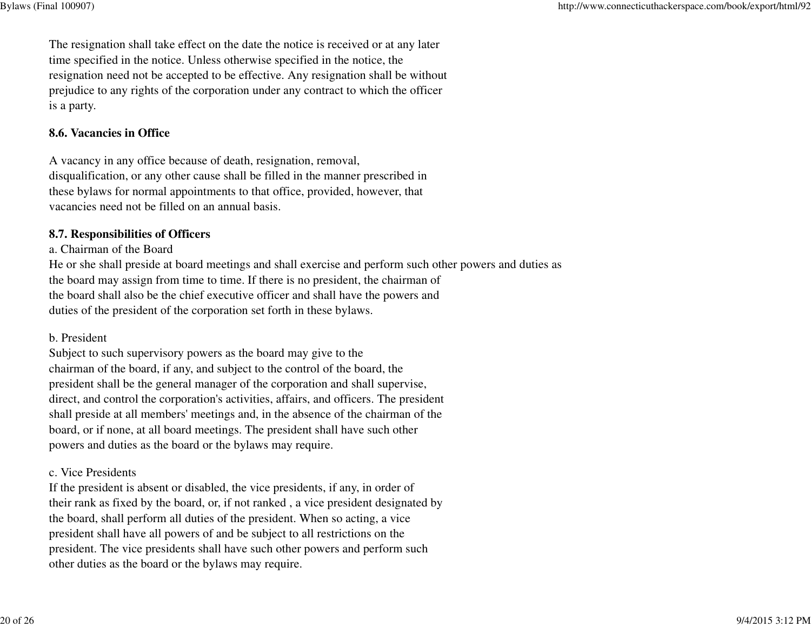The resignation shall take effect on the date the notice is received or at any latertime specified in the notice. Unless otherwise specified in the notice, the resignation need not be accepted to be effective. Any resignation shall be withoutprejudice to any rights of the corporation under any contract to which the officeris a party.

#### **8.6. Vacancies in Office**

A vacancy in any office because of death, resignation, removal,disqualification, or any other cause shall be filled in the manner prescribed in these bylaws for normal appointments to that office, provided, however, thatvacancies need not be filled on an annual basis.

#### **8.7. Responsibilities of Officers**

a. Chairman of the Board

 He or she shall preside at board meetings and shall exercise and perform such other powers and duties asthe board may assign from time to time. If there is no president, the chairman of the board shall also be the chief executive officer and shall have the powers andduties of the president of the corporation set forth in these bylaws.

#### b. President

Subject to such supervisory powers as the board may give to the chairman of the board, if any, and subject to the control of the board, the president shall be the general manager of the corporation and shall supervise,direct, and control the corporation's activities, affairs, and officers. The president shall preside at all members' meetings and, in the absence of the chairman of theboard, or if none, at all board meetings. The president shall have such otherpowers and duties as the board or the bylaws may require.

#### c. Vice Presidents

 If the president is absent or disabled, the vice presidents, if any, in order oftheir rank as fixed by the board, or, if not ranked , a vice president designated bythe board, shall perform all duties of the president. When so acting, a vice president shall have all powers of and be subject to all restrictions on the president. The vice presidents shall have such other powers and perform suchother duties as the board or the bylaws may require.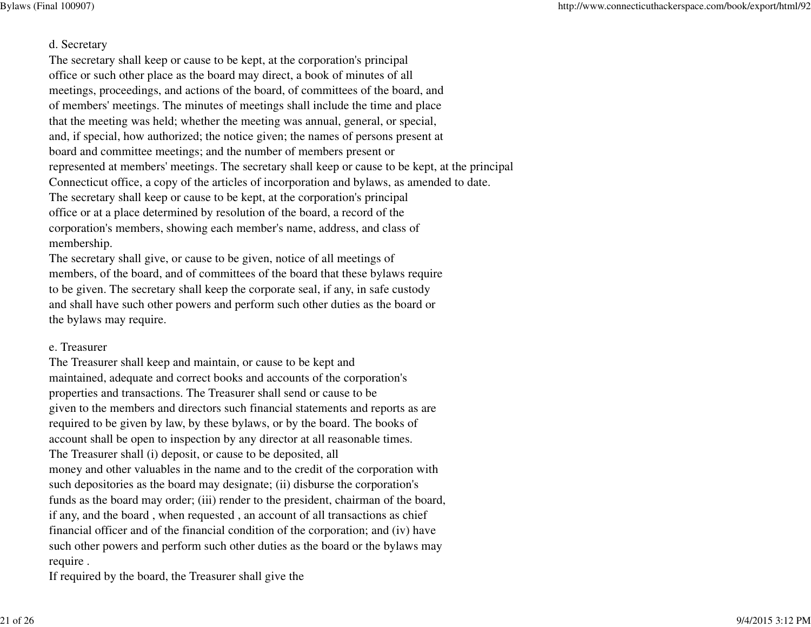#### d. Secretary

 The secretary shall keep or cause to be kept, at the corporation's principaloffice or such other place as the board may direct, a book of minutes of allmeetings, proceedings, and actions of the board, of committees of the board, and of members' meetings. The minutes of meetings shall include the time and place that the meeting was held; whether the meeting was annual, general, or special,and, if special, how authorized; the notice given; the names of persons present atboard and committee meetings; and the number of members present or represented at members' meetings. The secretary shall keep or cause to be kept, at the principalConnecticut office, a copy of the articles of incorporation and bylaws, as amended to date.The secretary shall keep or cause to be kept, at the corporation's principaloffice or at a place determined by resolution of the board, a record of the corporation's members, showing each member's name, address, and class ofmembership.

The secretary shall give, or cause to be given, notice of all meetings of members, of the board, and of committees of the board that these bylaws requireto be given. The secretary shall keep the corporate seal, if any, in safe custody and shall have such other powers and perform such other duties as the board orthe bylaws may require.

#### e. Treasurer

The Treasurer shall keep and maintain, or cause to be kept and maintained, adequate and correct books and accounts of the corporation'sproperties and transactions. The Treasurer shall send or cause to be given to the members and directors such financial statements and reports as arerequired to be given by law, by these bylaws, or by the board. The books of account shall be open to inspection by any director at all reasonable times.The Treasurer shall (i) deposit, or cause to be deposited, all money and other valuables in the name and to the credit of the corporation withsuch depositories as the board may designate; (ii) disburse the corporation's funds as the board may order; (iii) render to the president, chairman of the board,if any, and the board , when requested , an account of all transactions as chieffinancial officer and of the financial condition of the corporation; and (iv) have such other powers and perform such other duties as the board or the bylaws mayrequire .

If required by the board, the Treasurer shall give the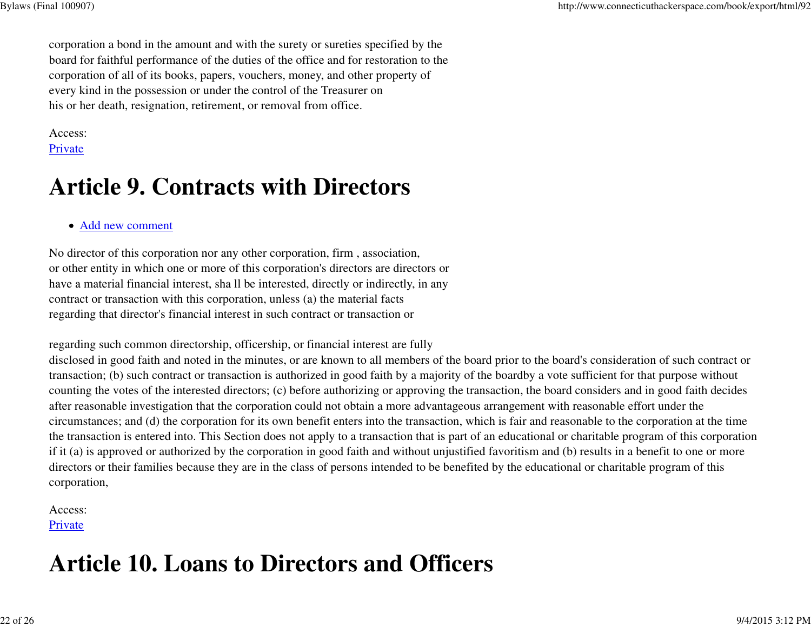corporation a bond in the amount and with the surety or sureties specified by the board for faithful performance of the duties of the office and for restoration to thecorporation of all of its books, papers, vouchers, money, and other property ofevery kind in the possession or under the control of the Treasurer onhis or her death, resignation, retirement, or removal from office.

Access: Private

# **Article 9. Contracts with Directors**

#### Add new comment

No director of this corporation nor any other corporation, firm , association,or other entity in which one or more of this corporation's directors are directors orhave a material financial interest, sha ll be interested, directly or indirectly, in anycontract or transaction with this corporation, unless (a) the material factsregarding that director's financial interest in such contract or transaction or

regarding such common directorship, officership, or financial interest are fully

 disclosed in good faith and noted in the minutes, or are known to all members of the board prior to the board's consideration of such contract ortransaction; (b) such contract or transaction is authorized in good faith by a majority of the boardby a vote sufficient for that purpose withoutcounting the votes of the interested directors; (c) before authorizing or approving the transaction, the board considers and in good faith decidesafter reasonable investigation that the corporation could not obtain a more advantageous arrangement with reasonable effort under the circumstances; and (d) the corporation for its own benefit enters into the transaction, which is fair and reasonable to the corporation at the time the transaction is entered into. This Section does not apply to a transaction that is part of an educational or charitable program of this corporationif it (a) is approved or authorized by the corporation in good faith and without unjustified favoritism and (b) results in a benefit to one or moredirectors or their families because they are in the class of persons intended to be benefited by the educational or charitable program of thiscorporation,

Access: Private

# **Article 10. Loans to Directors and Officers**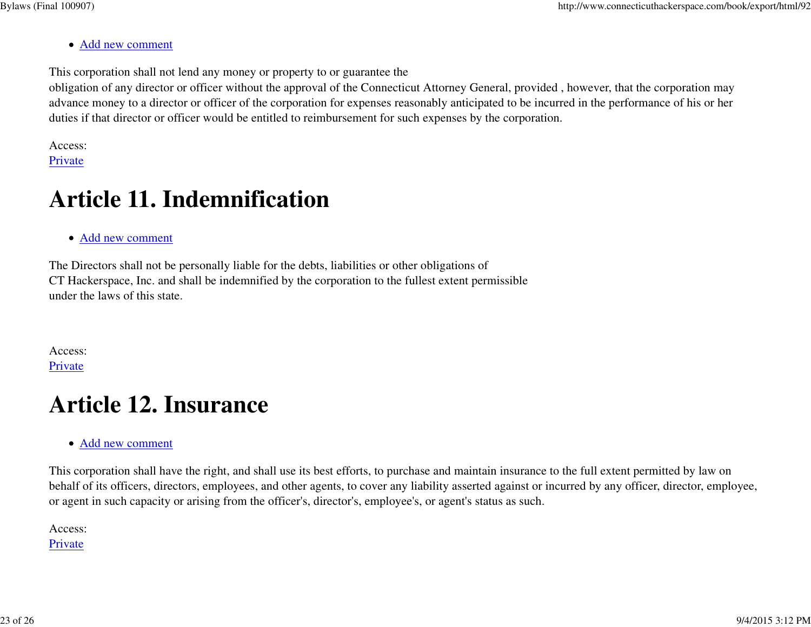#### Add new comment

This corporation shall not lend any money or property to or guarantee the

 obligation of any director or officer without the approval of the Connecticut Attorney General, provided , however, that the corporation may advance money to a director or officer of the corporation for expenses reasonably anticipated to be incurred in the performance of his or herduties if that director or officer would be entitled to reimbursement for such expenses by the corporation.

Access: Private

# **Article 11. Indemnification**

Add new comment

The Directors shall not be personally liable for the debts, liabilities or other obligations ofCT Hackerspace, Inc. and shall be indemnified by the corporation to the fullest extent permissibleunder the laws of this state.

Access: **Private** 

# **Article 12. Insurance**

Add new comment

This corporation shall have the right, and shall use its best efforts, to purchase and maintain insurance to the full extent permitted by law on behalf of its officers, directors, employees, and other agents, to cover any liability asserted against or incurred by any officer, director, employee,or agent in such capacity or arising from the officer's, director's, employee's, or agent's status as such.

Access: Private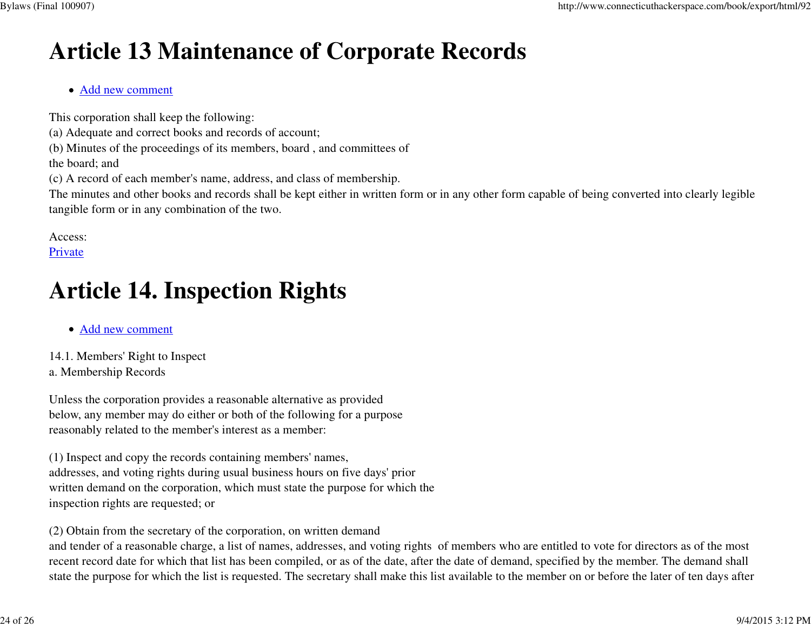# **Article 13 Maintenance of Corporate Records**

#### Add new comment

This corporation shall keep the following:

(a) Adequate and correct books and records of account;

(b) Minutes of the proceedings of its members, board , and committees of

the board; and

(c) A record of each member's name, address, and class of membership.

The minutes and other books and records shall be kept either in written form or in any other form capable of being converted into clearly legibletangible form or in any combination of the two.

Access:

Private

# **Article 14. Inspection Rights**

- Add new comment
- 14.1. Members' Right to Inspecta. Membership Records

Unless the corporation provides a reasonable alternative as provided below, any member may do either or both of the following for a purposereasonably related to the member's interest as a member:

(1) Inspect and copy the records containing members' names,addresses, and voting rights during usual business hours on five days' priorwritten demand on the corporation, which must state the purpose for which theinspection rights are requested; or

(2) Obtain from the secretary of the corporation, on written demand

 and tender of a reasonable charge, a list of names, addresses, and voting rights of members who are entitled to vote for directors as of the mostrecent record date for which that list has been compiled, or as of the date, after the date of demand, specified by the member. The demand shallstate the purpose for which the list is requested. The secretary shall make this list available to the member on or before the later of ten days after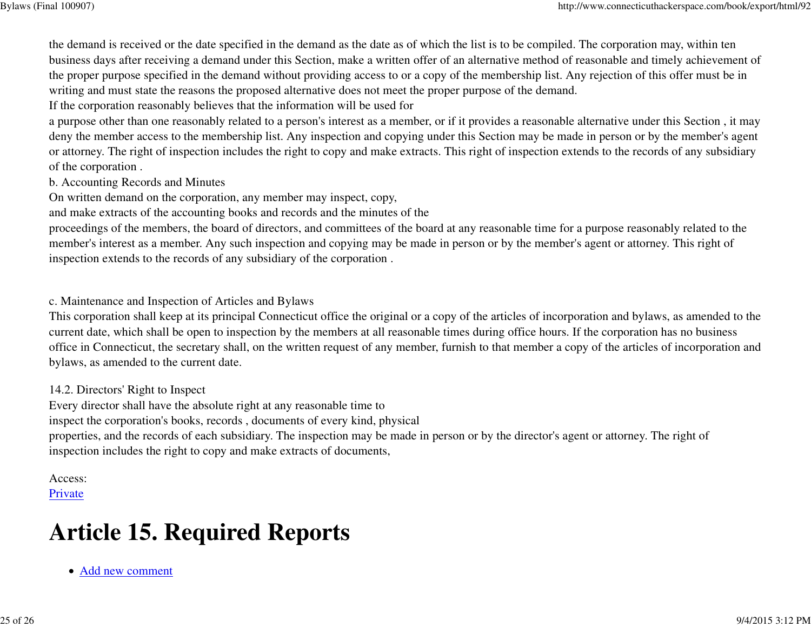the demand is received or the date specified in the demand as the date as of which the list is to be compiled. The corporation may, within ten business days after receiving a demand under this Section, make a written offer of an alternative method of reasonable and timely achievement ofthe proper purpose specified in the demand without providing access to or a copy of the membership list. Any rejection of this offer must be inwriting and must state the reasons the proposed alternative does not meet the proper purpose of the demand.

If the corporation reasonably believes that the information will be used for

 a purpose other than one reasonably related to a person's interest as a member, or if it provides a reasonable alternative under this Section , it may deny the member access to the membership list. Any inspection and copying under this Section may be made in person or by the member's agentor attorney. The right of inspection includes the right to copy and make extracts. This right of inspection extends to the records of any subsidiaryof the corporation .

b. Accounting Records and Minutes

On written demand on the corporation, any member may inspect, copy,

and make extracts of the accounting books and records and the minutes of the

 proceedings of the members, the board of directors, and committees of the board at any reasonable time for a purpose reasonably related to themember's interest as a member. Any such inspection and copying may be made in person or by the member's agent or attorney. This right ofinspection extends to the records of any subsidiary of the corporation .

c. Maintenance and Inspection of Articles and Bylaws

 This corporation shall keep at its principal Connecticut office the original or a copy of the articles of incorporation and bylaws, as amended to thecurrent date, which shall be open to inspection by the members at all reasonable times during office hours. If the corporation has no business office in Connecticut, the secretary shall, on the written request of any member, furnish to that member a copy of the articles of incorporation andbylaws, as amended to the current date.

14.2. Directors' Right to Inspect

Every director shall have the absolute right at any reasonable time to

inspect the corporation's books, records , documents of every kind, physical

properties, and the records of each subsidiary. The inspection may be made in person or by the director's agent or attorney. The right ofinspection includes the right to copy and make extracts of documents,

#### Access:

Private

# **Article 15. Required Reports**

Add new comment